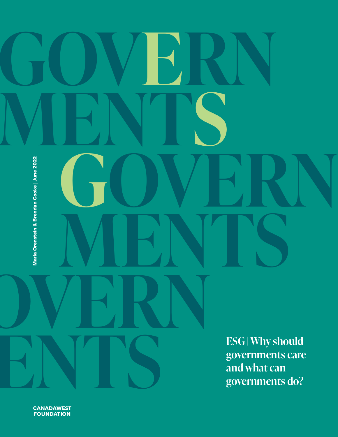# **ESG | Why should governments care and what can governments do? GOVERN MENTS GOVERN MENTS GOVERN M[EN](http://cwf.ca)TS** Marla Orenstein & Brendan Cooke | June 2022

**CANADAWEST**<br>FOUNDATION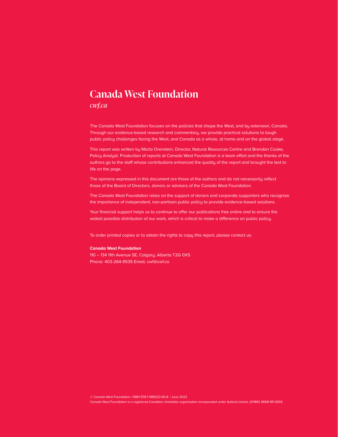#### **Canada West Foundation**

#### *[cwf.ca](http://cwf.ca)*

The Canada West Foundation focuses on the policies that shape the West, and by extension, Canada. Through our evidence-based research and commentary, we provide practical solutions to tough public policy challenges facing the West, and Canada as a whole, at home and on the global stage.

This report was written by Marla Orenstein, Director, Natural Resources Centre and Brendan Cooke, Policy Analyst. Production of reports at Canada West Foundation is a team effort and the thanks of the authors go to the staff whose contributions enhanced the quality of the report and brought the text to life on the page.

The opinions expressed in this document are those of the authors and do not necessarily reflect those of the Board of Directors, donors or advisers of the Canada West Foundation.

The Canada West Foundation relies on the support of donors and corporate supporters who recognize the importance of independent, non-partisan public policy to provide evidence-based solutions.

Your financial support helps us to continue to offer our publications free online and to ensure the widest possible distribution of our work, which is critical to make a difference on public policy.

To order printed copies or to obtain the rights to copy this report, please contact us:

#### **Canada West Foundation**

110 – 134 11th Avenue SE, Calgary, Alberta T2G 0X5 Phone: 403-264-9535 Email: [cwf@cwf.ca](mailto:cwf%40cwf.ca?subject=)

© Canada West Foundation | ISBN 978-1-989323-90-8 | June 2022

Canada West Foundation is a registered Canadian charitable organization incorporated under federal charter. (#11882 8698 RR 0001)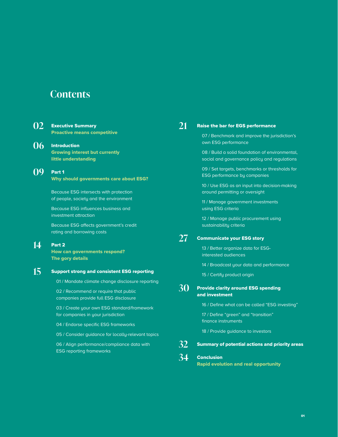#### **Contents**

 $\Omega$ 

| <u>U2</u> | <b>Executive Summary</b>                                                          |  |  |  |
|-----------|-----------------------------------------------------------------------------------|--|--|--|
|           | <b>Proactive means competitive</b>                                                |  |  |  |
| 06        | <b>Introduction</b>                                                               |  |  |  |
|           | <b>Growing interest but currently</b>                                             |  |  |  |
|           | little understanding                                                              |  |  |  |
| 79        | Part 1                                                                            |  |  |  |
|           | <b>Why should governments care about ESG?</b>                                     |  |  |  |
|           | Because ESG intersects with protection                                            |  |  |  |
|           | of people, society and the environment                                            |  |  |  |
|           | Because ESG influences business and<br>investment attraction                      |  |  |  |
|           | Because ESG affects government's credit<br>rating and borrowing costs             |  |  |  |
| 14        | Part <sub>2</sub><br><b>How can governments respond?</b><br>The gory details      |  |  |  |
| 15        | <b>Support strong and consistent ESG reporting</b>                                |  |  |  |
|           | 01 / Mandate climate change disclosure reporting                                  |  |  |  |
|           | 02 / Recommend or require that public<br>companies provide full ESG disclosure    |  |  |  |
|           | 03 / Create your own ESG standard/framework<br>for companies in your jurisdiction |  |  |  |
|           | 04 / Endorse specific ESG frameworks                                              |  |  |  |
|           | 05 / Consider guidance for locally-relevant topics                                |  |  |  |
|           | 06 / Align performance/compliance data with<br><b>ESG reporting frameworks</b>    |  |  |  |

#### **[21](#page-22-0)**

#### [Raise the bar for EGS performance](#page-22-0)

07 / Benchmark and improve the jurisdiction's own ESG performance

08 / Build a solid foundation of environmental, social and governance policy and regulations

09 / Set targets, benchmarks or thresholds for ESG performance by companies

10 / Use ESG as an input into decision-making around permitting or oversight

11 / Manage government investments using ESG criteria

12 / Manage public procurement using sustainability criteria

#### [Communicate your ESG story](#page-28-0) **[27](#page-28-0)**

13 / Better organize data for ESGinterested audiences

14 / Broadcast your data and performance

15 / Certify product origin

#### [Provide clarity around ESG spending](#page-31-0)  [and investment](#page-31-0) **[30](#page-31-0)**

16 / Define what can be called "ESG investing"

17 / Define "green" and "transition" finance instruments

18 / Provide guidance to investors

[Summary of potential actions and priority areas](#page-33-0) **[32](#page-33-0)**

#### [Conclusion](#page-35-0) **[34](#page-35-0)**

[Rapid evolution and real opportunity](#page-35-0)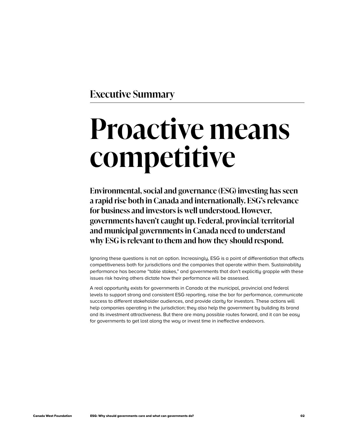<span id="page-3-0"></span>**Executive Summary**

# **Proactive means competitive**

**Environmental, social and governance (ESG) investing has seen a rapid rise both in Canada and internationally. ESG's relevance for business and investors is well understood. However, governments haven't caught up. Federal, provincial/territorial and municipal governments in Canada need to understand why ESG is relevant to them and how they should respond.**

Ignoring these questions is not an option. Increasingly, ESG is a point of differentiation that affects competitiveness both for jurisdictions and the companies that operate within them. Sustainability performance has become "table stakes," and governments that don't explicitly grapple with these issues risk having others dictate how their performance will be assessed.

A real opportunity exists for governments in Canada at the municipal, provincial and federal levels to support strong and consistent ESG reporting, raise the bar for performance, communicate success to different stakeholder audiences, and provide clarity for investors. These actions will help companies operating in the jurisdiction; they also help the government by building its brand and its investment attractiveness. But there are many possible routes forward, and it can be easy for governments to get lost along the way or invest time in ineffective endeavors.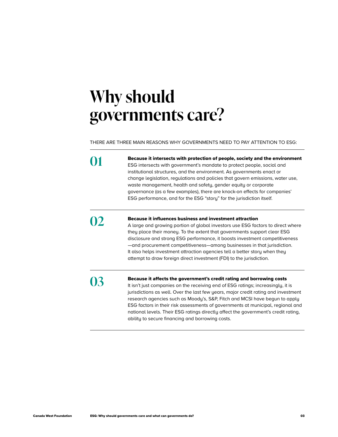### **Why should governments care?**

THERE ARE THREE MAIN REASONS WHY GOVERNMENTS NEED TO PAY ATTENTION TO ESG:

| Because it intersects with protection of people, society and the environment<br>ESG intersects with government's mandate to protect people, social and<br>institutional structures, and the environment. As governments enact or<br>change legislation, regulations and policies that govern emissions, water use,<br>waste management, health and safety, gender equity or corporate<br>governance (as a few examples), there are knock-on effects for companies'<br>ESG performance, and for the ESG "story" for the jurisdiction itself.                |
|------------------------------------------------------------------------------------------------------------------------------------------------------------------------------------------------------------------------------------------------------------------------------------------------------------------------------------------------------------------------------------------------------------------------------------------------------------------------------------------------------------------------------------------------------------|
| <b>Because it influences business and investment attraction</b><br>A large and growing portion of global investors use ESG factors to direct where<br>they place their money. To the extent that governments support clear ESG<br>disclosure and strong ESG performance, it boosts investment competitiveness<br>-and procurement competitiveness-among businesses in that jurisdiction.<br>It also helps investment attraction agencies tell a better story when they<br>attempt to draw foreign direct investment (FDI) to the jurisdiction.             |
| Because it affects the government's credit rating and borrowing costs<br>It isn't just companies on the receiving end of ESG ratings; increasingly, it is<br>jurisdictions as well. Over the last few years, major credit rating and investment<br>research agencies such as Moody's, S&P, Fitch and MCSI have begun to apply<br>ESG factors in their risk assessments of governments at municipal, regional and<br>national levels. Their ESG ratings directly affect the government's credit rating,<br>ability to secure financing and borrowing costs. |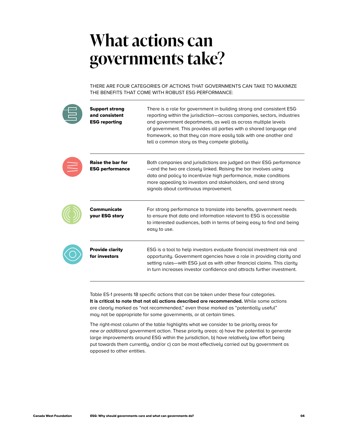### **What actions can governments take?**

THERE ARE FOUR CATEGORIES OF ACTIONS THAT GOVERNMENTS CAN TAKE TO MAXIMIZE THE BENEFITS THAT COME WITH ROBUST ESG PERFORMANCE:

| <b>Support strong</b><br>and consistent<br><b>ESG reporting</b> | There is a role for government in building strong and consistent ESG<br>reporting within the jurisdiction—across companies, sectors, industries<br>and government departments, as well as across multiple levels<br>of government. This provides all parties with a shared language and<br>framework, so that they can more easily talk with one another and<br>tell a common story as they compete globally. |
|-----------------------------------------------------------------|---------------------------------------------------------------------------------------------------------------------------------------------------------------------------------------------------------------------------------------------------------------------------------------------------------------------------------------------------------------------------------------------------------------|
| <b>Raise the bar for</b><br><b>ESG performance</b>              | Both companies and jurisdictions are judged on their ESG performance<br>—and the two are closely linked. Raising the bar involves using<br>data and policy to incentivize high performance, make conditions<br>more appealing to investors and stakeholders, and send strong<br>signals about continuous improvement.                                                                                         |
| <b>Communicate</b><br>your ESG story                            | For strong performance to translate into benefits, government needs<br>to ensure that data and information relevant to ESG is accessible<br>to interested audiences, both in terms of being easy to find and being<br>easy to use.                                                                                                                                                                            |
| <b>Provide clarity</b><br>for investors                         | ESG is a tool to help investors evaluate financial investment risk and<br>opportunity. Government agencies have a role in providing clarity and<br>setting rules-with ESG just as with other financial claims. This clarity<br>in turn increases investor confidence and attracts further investment.                                                                                                         |

Table ES-1 presents 18 specific actions that can be taken under these four categories. **It is critical to note that not all actions described are recommended.** While some actions are clearly marked as "not recommended," even those marked as "potentially useful" may not be appropriate for some governments, or at certain times.

The right-most column of the table highlights what we consider to be priority areas for *new or additional* government action. These priority areas: a) have the potential to generate large improvements around ESG within the jurisdiction, b) have relatively low effort being put towards them currently, and/or c) can be most effectively carried out by government as opposed to other entities.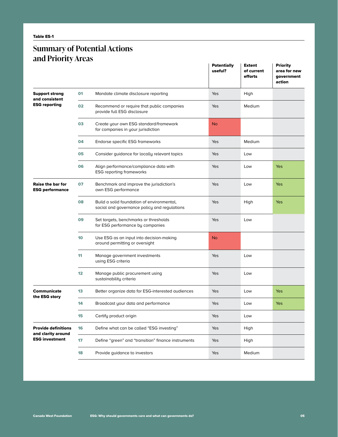#### **Summary of Potential Actions and Priority Areas**

|                                                    |                 |                                                                                            | <b>Potentially</b><br>useful? | <b>Extent</b><br>of current<br>efforts | <b>Priority</b><br>area for new<br>government<br>action |
|----------------------------------------------------|-----------------|--------------------------------------------------------------------------------------------|-------------------------------|----------------------------------------|---------------------------------------------------------|
| <b>Support strong</b><br>and consistent            | 01              | Mandate climate disclosure reporting                                                       | Yes                           | High                                   |                                                         |
| <b>ESG reporting</b>                               | 02              | Recommend or require that public companies<br>provide full ESG disclosure                  | Yes                           | Medium                                 |                                                         |
|                                                    | 03              | Create your own ESG standard/framework<br>for companies in your jurisdiction               | <b>No</b>                     |                                        |                                                         |
|                                                    | 04              | Endorse specific ESG frameworks                                                            | Yes                           | Medium                                 |                                                         |
|                                                    | 05              | Consider guidance for locally relevant topics                                              | Yes                           | Low                                    |                                                         |
|                                                    | 06              | Align performance/compliance data with<br><b>ESG reporting frameworks</b>                  | Yes                           | Low                                    | Yes                                                     |
| <b>Raise the bar for</b><br><b>ESG performance</b> | 07              | Benchmark and improve the jurisdiction's<br>own ESG performance                            | Yes                           | Low                                    | Yes                                                     |
|                                                    | 80              | Build a solid foundation of environmental,<br>social and governance policy and regulations | Yes                           | High                                   | Yes                                                     |
|                                                    | 09              | Set targets, benchmarks or thresholds<br>for ESG performance by companies                  | Yes                           | Low                                    |                                                         |
|                                                    | 10              | Use ESG as an input into decision-making<br>around permitting or oversight                 | <b>No</b>                     |                                        |                                                         |
|                                                    | 11              | Manage government investments<br>using ESG criteria                                        | Yes                           | Low                                    |                                                         |
|                                                    | 12 <sub>2</sub> | Manage public procurement using<br>sustainability criteria                                 | Yes                           | Low                                    |                                                         |
| <b>Communicate</b><br>the ESG story                | 13              | Better organize data for ESG-interested audiences                                          | Yes                           | Low                                    | Yes                                                     |
|                                                    | 14              | Broadcast your data and performance                                                        | Yes                           | Low                                    | Yes                                                     |
|                                                    | 15              | Certify product origin                                                                     | Yes                           | Low                                    |                                                         |
| <b>Provide definitions</b><br>and clarity around   | 16              | Define what can be called "ESG investing"                                                  | Yes                           | High                                   |                                                         |
| <b>ESG investment</b>                              | 17              | Define "green" and "transition" finance instruments                                        | Yes                           | High                                   |                                                         |
|                                                    | 18              | Provide guidance to investors                                                              | Yes                           | Medium                                 |                                                         |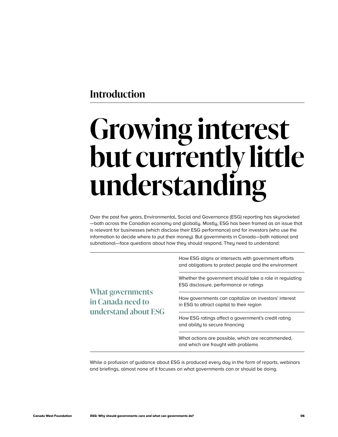#### <span id="page-7-0"></span>**Introduction**

# **Growing interest but currently little understanding**

Over the past five years, Environmental, Social and Governance (ESG) reporting has skyrocketed —both across the Canadian economy and globally. Mostly, ESG has been framed as an issue that is relevant for businesses (which disclose their ESG performance) and for investors (who use the information to decide where to put their money). But governments in Canada—both national and subnational—face questions about how they should respond. They need to understand:

**What governments in Canada need to understand about ESG** How ESG aligns or intersects with government efforts and obligations to protect people and the environment

Whether the government should take a role in regulating ESG disclosure, performance or ratings

How governments can capitalize on investors' interest in ESG to attract capital to their region

How ESG ratings affect a government's credit rating and ability to secure financing

What actions are possible, which are recommended, and which are fraught with problems

While a profusion of guidance about ESG is produced every day in the form of reports, webinars and briefings, almost none of it focuses on what governments can or should be doing.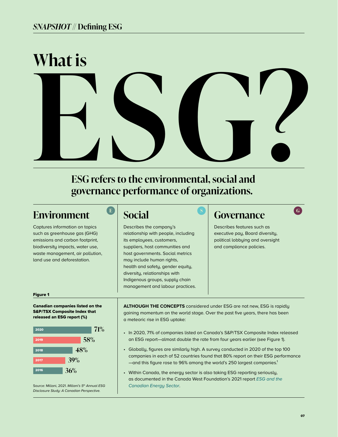# ESG refers to the environmental, social and **What is**

**ESG refers to the environmental, social and governance performance of organizations.** 

#### **Environment**

Captures information on topics such as greenhouse gas (GHG) emissions and carbon footprint, biodiversity impacts, water use, waste management, air pollution, land use and deforestation.

#### **Social**

Describes the company's relationship with people, including its employees, customers, suppliers, host communities and host governments. Social metrics may include human rights, health and safety, gender equity, diversity, relationships with Indigenous groups, supply chain management and labour practices.

### **E** Social Governance C

Describes features such as executive pay, Board diversity, political lobbying and oversight and compliance policies.

#### Figure 1

Canadian companies listed on the S&P/TSX Composite Index that released an ESG report (%)



Source: Millani, 2021. *Millani's 5th Annual ESG Disclosure Study: A Canadian Perspective.*

**ALTHOUGH THE CONCEPTS** considered under ESG are not new, ESG is rapidly gaining momentum on the world stage. Over the past five years, there has been a meteoric rise in ESG uptake:

- In 2020, 71% of companies listed on Canada's S&P/TSX Composite Index released an ESG report—almost double the rate from four years earlier (see Figure 1).
- Globally, figures are similarly high. A survey conducted in 2020 of the top 100 companies in each of 52 countries found that 80% report on their ESG performance -and this figure rose to 96% among the world's 250 largest companies.<sup>1</sup>
- Within Canada, the energy sector is also taking ESG reporting seriously, as documented in the Canada West Foundation's 2021 report *[ESG and the](https://cwf.ca/research/publications/report-esg-and-the-canadian-energy-sector/)  [Canadian Energy Sector](https://cwf.ca/research/publications/report-esg-and-the-canadian-energy-sector/)*.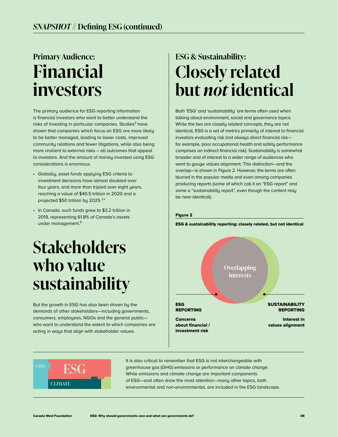### **Primary Audience: Financial investors**

The primary audience for ESG reporting information is financial investors who want to better understand the risks of investing in particular companies. Studies<sup>2</sup> have shown that companies which focus on ESG are more likely to be better managed, leading to lower costs, improved community relations and fewer litigations, while also being more resilient to external risks – all outcomes that appeal to investors. And the amount of money invested using ESG considerations is enormous.

- Globally, asset funds applying ESG criteria to investment decisions have almost doubled over four years, and more than tripled over eight years, reaching a value of \$40.5 trillion in 2020 and a projected \$50 trillion by 2025.3,4
- In Canada, such funds grew to \$3.2 trillion in 2019, representing 61.8% of Canada's assets under management.<sup>5</sup>

### **Stakeholders who value sustainability**

But the growth in ESG has also been driven by the demands of other stakeholders—including governments, consumers, employees, NGOs and the general public who want to understand the extent to which companies are acting in ways that align with stakeholder values.

### **ESG & Sustainability: Closely related but** *not* **identical**

Both 'ESG' and 'sustainability' are terms often used when talking about environment, social and governance topics. While the two are closely related concepts, they are not identical. ESG is a set of metrics primarily of interest to financial investors evaluating risk (not always direct financial risk for example, poor occupational health and safety performance comprises an indirect financial risk). Sustainability is somewhat broader and of interest to a wider range of audiences who want to gauge values alignment. This distinction—and the overlap—is shown in Figure 2. However, the terms are often blurred in the popular media and even among companies producing reports (some of which call it an "ESG report" and some a "sustainability report", even though the content may be near-identical).

#### Figure 2

ESG & sustainability reporting: closely related, but not identical





It is also critical to remember that ESG is not interchangeable with greenhouse gas (GHG) emissions or performance on climate change. While emissions and climate change are important components of ESG—and often draw the most attention—many other topics, both environmental and non-environmental, are included in the ESG landscape.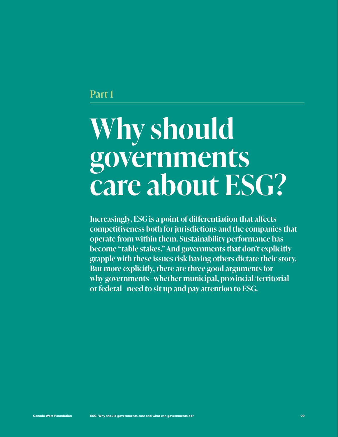#### <span id="page-10-0"></span>**Part 1**

# **Why should governments care about ESG?**

**Increasingly, ESG is a point of differentiation that affects competitiveness both for jurisdictions and the companies that operate from within them. Sustainability performance has become "table stakes." And governments that don't explicitly grapple with these issues risk having others dictate their story. But more explicitly, there are three good arguments for why governments—whether municipal, provincial/territorial or federal—need to sit up and pay attention to ESG.**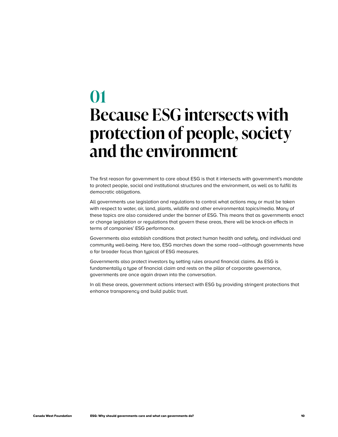### **01 Because ESG intersects with protection of people, society and the environment**

The first reason for government to care about ESG is that it intersects with government's mandate to protect people, social and institutional structures and the environment, as well as to fulfill its democratic obligations.

All governments use legislation and regulations to control what actions may or must be taken with respect to water, air, land, plants, wildlife and other environmental topics/media. Many of these topics are also considered under the banner of ESG. This means that as governments enact or change legislation or regulations that govern these areas, there will be knock-on effects in terms of companies' ESG performance.

Governments also establish conditions that protect human health and safety, and individual and community well-being. Here too, ESG marches down the same road—although governments have a far broader focus than typical of ESG measures.

Governments also protect investors by setting rules around financial claims. As ESG is fundamentally a type of financial claim and rests on the pillar of corporate governance, governments are once again drawn into the conversation.

In all these areas, government actions intersect with ESG by providing stringent protections that enhance transparency and build public trust.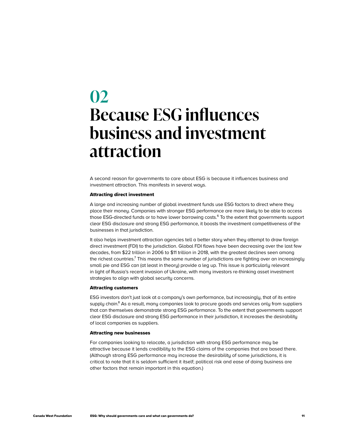### **02 Because ESG influences business and investment attraction**

A second reason for governments to care about ESG is because it influences business and investment attraction. This manifests in several ways.

#### Attracting direct investment

A large and increasing number of global investment funds use ESG factors to direct where they place their money. Companies with stronger ESG performance are more likely to be able to access those ESG-directed funds or to have lower borrowing costs.<sup>6</sup> To the extent that governments support clear ESG disclosure and strong ESG performance, it boosts the investment competitiveness of the businesses in that jurisdiction.

It also helps investment attraction agencies tell a better story when they attempt to draw foreign direct investment (FDI) to the jurisdiction. Global FDI flows have been decreasing over the last few decades, from \$22 trillion in 2006 to \$11 trillion in 2018, with the greatest declines seen among the richest countries.<sup>7</sup> This means the same number of jurisdictions are fighting over an increasingly small pie and ESG can (at least in theory) provide a leg up. This issue is particularly relevant in light of Russia's recent invasion of Ukraine, with many investors re-thinking asset investment strategies to align with global security concerns.

#### Attracting customers

ESG investors don't just look at a company's own performance, but increasingly, that of its entire supply chain.<sup>8</sup> As a result, many companies look to procure goods and services only from suppliers that can themselves demonstrate strong ESG performance. To the extent that governments support clear ESG disclosure and strong ESG performance in their jurisdiction, it increases the desirability of local companies as suppliers.

#### Attracting new businesses

For companies looking to relocate, a jurisdiction with strong ESG performance may be attractive because it lends credibility to the ESG claims of the companies that are based there. (Although strong ESG performance may increase the desirability of some jurisdictions, it is critical to note that it is seldom sufficient it itself; political risk and ease of doing business are other factors that remain important in this equation.)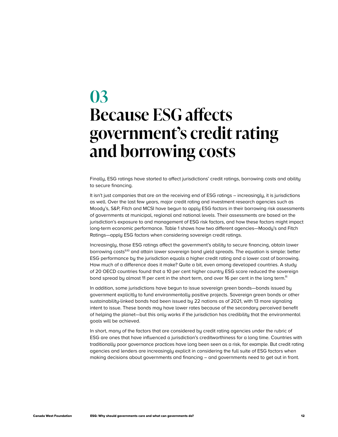### **03 Because ESG affects government's credit rating and borrowing costs**

Finally, ESG ratings have started to affect jurisdictions' credit ratings, borrowing costs and ability to secure financing.

It isn't just companies that are on the receiving end of ESG ratings – increasingly, it is jurisdictions as well. Over the last few years, major credit rating and investment research agencies such as Moody's, S&P, Fitch and MCSI have begun to apply ESG factors in their borrowing risk assessments of governments at municipal, regional and national levels. Their assessments are based on the jurisdiction's exposure to and management of ESG risk factors, and how these factors might impact long-term economic performance. Table 1 shows how two different agencies—Moody's and Fitch Ratings—apply ESG factors when considering sovereign credit ratings.

Increasingly, those ESG ratings affect the government's ability to secure financing, obtain lower borrowing costs<sup>9,10</sup> and attain lower sovereign bond yield spreads. The equation is simple: better ESG performance by the jurisdiction equals a higher credit rating and a lower cost of borrowing. How much of a difference does it make? Quite a bit, even among developed countries. A study of 20 OECD countries found that a 10 per cent higher country ESG score reduced the sovereign bond spread by almost 11 per cent in the short term, and over 16 per cent in the long term.<sup>11</sup>

In addition, some jurisdictions have begun to issue sovereign green bonds—bonds issued by government explicitly to fund environmentally positive projects. Sovereign green bonds or other sustainability-linked bonds had been issued by 22 nations as of 2021, with 13 more signaling intent to issue. These bonds may have lower rates because of the secondary perceived benefit of helping the planet—but this only works if the jurisdiction has credibility that the environmental goals will be achieved.

In short, many of the factors that are considered by credit rating agencies under the rubric of ESG are ones that have influenced a jurisdiction's creditworthiness for a long time. Countries with traditionally poor governance practices have long been seen as a risk, for example. But credit rating agencies and lenders are increasingly explicit in considering the full suite of ESG factors when making decisions about governments and financing – and governments need to get out in front.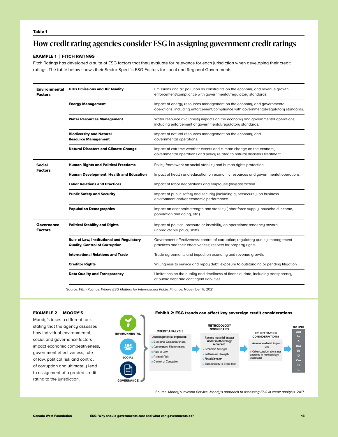#### Table 1

#### **How credit rating agencies consider ESG in assigning government credit ratings**

#### EXAMPLE 1 | FITCH RATINGS

Fitch Ratings has developed a suite of ESG factors that they evaluate for relevance for each jurisdiction when developing their credit ratings. The table below shows their Sector-Specific ESG Factors for Local and Regional Governments.

| Environmental<br><b>Factors</b> | <b>GHG Emissions and Air Quality</b><br>Emissions and air pollution as constraints on the economy and revenue growth;<br>enforcement/compliance with governmental/regulatory standards. |                                                                                                                                                               |  |  |  |
|---------------------------------|-----------------------------------------------------------------------------------------------------------------------------------------------------------------------------------------|---------------------------------------------------------------------------------------------------------------------------------------------------------------|--|--|--|
|                                 | <b>Energy Management</b>                                                                                                                                                                | Impact of energy resources management on the economy and governmental<br>operations, including enforcement/compliance with governmental/regulatory standards. |  |  |  |
|                                 | <b>Water Resources Management</b>                                                                                                                                                       | Water resource availability impacts on the economy and governmental operations,<br>including enforcement of governmental/regulatory standards.                |  |  |  |
|                                 | <b>Biodiversity and Natural</b><br><b>Resource Management</b>                                                                                                                           | Impact of natural resources management on the economy and<br>governmental operations.                                                                         |  |  |  |
|                                 | <b>Natural Disasters and Climate Change</b>                                                                                                                                             | Impact of extreme weather events and climate change on the economy,<br>governmental operations and policy related to natural disasters treatment.             |  |  |  |
| Social<br><b>Factors</b>        | <b>Human Rights and Political Freedoms</b>                                                                                                                                              | Policy framework on social stability and human rights protection.                                                                                             |  |  |  |
|                                 | Human Development, Health and Education                                                                                                                                                 | Impact of health and education on economic resources and governmental operations.                                                                             |  |  |  |
|                                 | <b>Labor Relations and Practices</b>                                                                                                                                                    | Impact of labor negotiations and employee (dis)satisfaction.                                                                                                  |  |  |  |
|                                 | <b>Public Safety and Security</b>                                                                                                                                                       | Impact of public safety and security (including cybersecurity) on business<br>environment and/or economic performance.                                        |  |  |  |
|                                 | <b>Population Demographics</b>                                                                                                                                                          | Impact on economic strength and stability (labor force supply, household income,<br>population and aging, etc.).                                              |  |  |  |
| Governance<br><b>Factors</b>    | <b>Political Stability and Rights</b>                                                                                                                                                   | Impact of political pressure or instability on operations; tendency toward<br>unpredictable policy shifts.                                                    |  |  |  |
|                                 | <b>Rule of Law, Institutional and Regulatory</b><br><b>Quality, Control of Corruption</b>                                                                                               | Government effectiveness; control of corruption; regulatory quality; management<br>practices and their effectiveness; respect for property rights.            |  |  |  |
|                                 | <b>International Relations and Trade</b>                                                                                                                                                | Trade agreements and impact on economy and revenue growth.                                                                                                    |  |  |  |
|                                 | <b>Creditor Rights</b>                                                                                                                                                                  | Willingness to service and repay debt; exposure to outstanding or pending litigation.                                                                         |  |  |  |
|                                 | <b>Data Quality and Transparency</b>                                                                                                                                                    | Limitations on the quality and timeliness of financial data, including transparency<br>of public debt and contingent liabilities.                             |  |  |  |

Source: Fitch Ratings. *Where ESG Matters for International Public Finance.* November 17, 2021

Moody's takes a different tack, stating that the agency assesses how individual environmental, social and governance factors impact economic competitiveness, government effectiveness, rule of law, political risk and control of corruption and ultimately lead to assignment of a graded credit rating to the jurisdiction.



Source: Moody's Investor Service. *Moody's approach to assessing ESG in credit analysis*. 2017.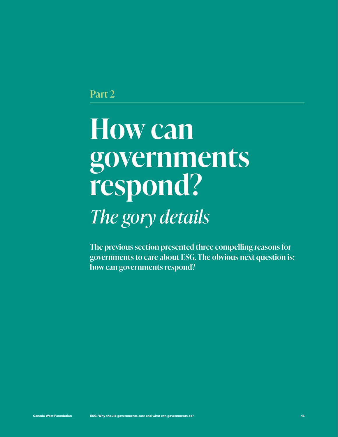<span id="page-15-0"></span>**Part 2**

## **How can governments respond?**  *The gory details*

**The previous section presented three compelling reasons for governments to care about ESG. The obvious next question is: how can governments respond?**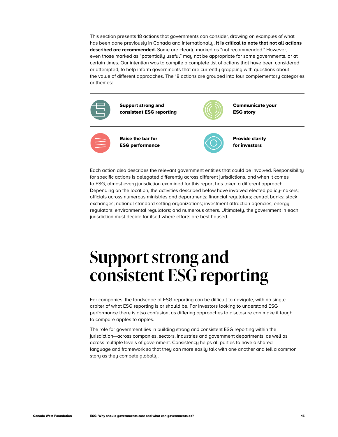<span id="page-16-0"></span>This section presents 18 actions that governments can consider, drawing on examples of what has been done previously in Canada and internationally. **It is critical to note that not all actions described are recommended.** Some are clearly marked as "not recommended." However, even those marked as "potentially useful" may not be appropriate for some governments, or at certain times. Our intention was to compile a complete list of actions that have been considered or attempted, to help inform governments that are currently grappling with questions about the value of different approaches. The 18 actions are grouped into four complementary categories or themes:



Each action also describes the relevant government entities that could be involved. Responsibility for specific actions is delegated differently across different jurisdictions, and when it comes to ESG, almost every jurisdiction examined for this report has taken a different approach. Depending on the location, the activities described below have involved elected policy-makers; officials across numerous ministries and departments; financial regulators; central banks; stock exchanges; national standard setting organizations; investment attraction agencies; energy regulators; environmental regulators; and numerous others. Ultimately, the government in each jurisdiction must decide for itself where efforts are best housed.

### **Support strong and consistent ESG reporting**

For companies, the landscape of ESG reporting can be difficult to navigate, with no single arbiter of what ESG reporting is or should be. For investors looking to understand ESG performance there is also confusion, as differing approaches to disclosure can make it tough to compare apples to apples.

The role for government lies in building strong and consistent ESG reporting within the jurisdiction—across companies, sectors, industries and government departments, as well as across multiple levels of government. Consistency helps all parties to have a shared language and framework so that they can more easily talk with one another and tell a common story as they compete globally.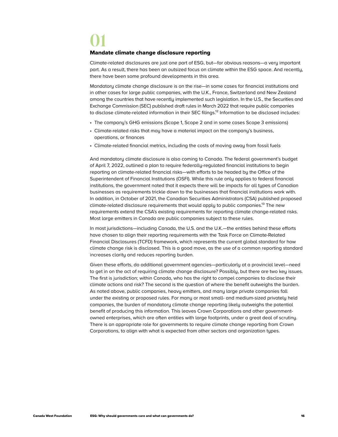### **01**

#### Mandate climate change disclosure reporting

Climate-related disclosures are just one part of ESG, but—for obvious reasons—a very important part. As a result, there has been an outsized focus on climate within the ESG space. And recently, there have been some profound developments in this area.

Mandatory climate change disclosure is on the rise—in some cases for financial institutions and in other cases for large public companies, with the U.K., France, Switzerland and New Zealand among the countries that have recently implemented such legislation. In the U.S., the Securities and Exchange Commission (SEC) published draft rules in March 2022 that require public companies to disclose climate-related information in their SEC filings.<sup>12</sup> Information to be disclosed includes:

- The company's GHG emissions (Scope 1, Scope 2 and in some cases Scope 3 emissions)
- Climate-related risks that may have a material impact on the company's business, operations, or finances
- Climate-related financial metrics, including the costs of moving away from fossil fuels

And mandatory climate disclosure is also coming to Canada. The federal government's budget of April 7, 2022, outlined a plan to require federally-regulated financial institutions to begin reporting on climate-related financial risks—with efforts to be headed by the Office of the Superintendent of Financial Institutions (OSFI). While this rule only applies to federal financial institutions, the government noted that it expects there will be impacts for all types of Canadian businesses as requirements trickle down to the businesses that financial institutions work with. In addition, in October of 2021, the Canadian Securities Administrators (CSA) published proposed climate-related disclosure requirements that would apply to public companies.<sup>13</sup> The new requirements extend the CSA's existing requirements for reporting climate change-related risks. Most large emitters in Canada are public companies subject to these rules.

In most jurisdictions—including Canada, the U.S. and the U.K.—the entities behind these efforts have chosen to align their reporting requirements with the Task Force on Climate-Related Financial Disclosures (TCFD) framework, which represents the current global standard for how climate change risk is disclosed. This is a good move, as the use of a common reporting standard increases clarity and reduces reporting burden.

Given these efforts, do additional government agencies—particularly at a provincial level—need to get in on the act of requiring climate change disclosure? Possibly, but there are two key issues. The first is jurisdiction; within Canada, who has the right to compel companies to disclose their climate actions and risk? The second is the question of where the benefit outweighs the burden. As noted above, public companies, heavy emitters, and many large private companies fall under the existing or proposed rules. For many or most small- and medium-sized privately held companies, the burden of mandatory climate change reporting likely outweighs the potential benefit of producing this information. This leaves Crown Corporations and other governmentowned enterprises, which are often entities with large footprints, under a great deal of scrutiny. There is an appropriate role for governments to require climate change reporting from Crown Corporations, to align with what is expected from other sectors and organization types.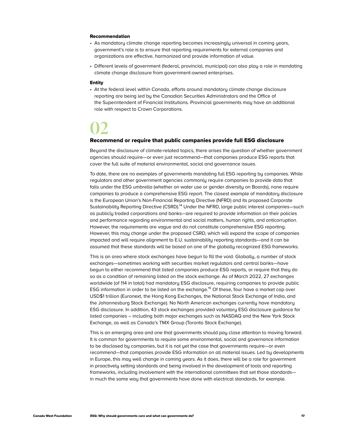#### Recommendation

- As mandatory climate change reporting becomes increasingly universal in coming years, government's role is to ensure that reporting requirements for external companies and organizations are effective, harmonized and provide information of value.
- Different levels of government (federal, provincial, municipal) can also play a role in mandating climate change disclosure from government-owned enterprises.

#### Entity

• At the federal level within Canada, efforts around mandatory climate change disclosure reporting are being led by the Canadian Securities Administrators and the Office of the Superintendent of Financial Institutions. Provincial governments may have an additional role with respect to Crown Corporations.

### **02**

#### Recommend or require that public companies provide full ESG disclosure

Beyond the disclosure of climate-related topics, there arises the question of whether government agencies should require—or even just recommend—that companies produce ESG reports that cover the full suite of material environmental, social and governance issues.

To date, there are no examples of governments mandating full ESG reporting by companies. While regulators and other government agencies commonly require companies to provide data that falls under the ESG umbrella (whether on water use or gender diversity on Boards), none require companies to produce a comprehensive ESG report. The closest example of mandatory disclosure is the European Union's Non-Financial Reporting Directive (NFRD) and its proposed Corporate Sustainability Reporting Directive (CSRD).<sup>14</sup> Under the NFRD, large public interest companies—such as publicly traded corporations and banks—are required to provide information on their policies and performance regarding environmental and social matters, human rights, and anticorruption. However, the requirements are vague and do not constitute comprehensive ESG reporting. However, this may change under the proposed CSRD, which will expand the scope of companies impacted and will require alignment to E.U. sustainability reporting standards—and it can be assumed that these standards will be based on one of the globally recognized ESG frameworks.

This is an area where stock exchanges have begun to fill the void. Globally, a number of stock exchanges—sometimes working with securities market regulators and central banks—have begun to either recommend that listed companies produce ESG reports, or require that they do so as a condition of remaining listed on the stock exchange. As of March 2022, 27 exchanges worldwide (of 114 in total) had mandatory ESG disclosure, requiring companies to provide public ESG information in order to be listed on the exchange.<sup>15</sup> Of these, four have a market cap over USD\$1 trillion (Euronext, the Hong Kong Exchanges, the National Stock Exchange of India, and the Johannesburg Stock Exchange). No North American exchanges currently have mandatory ESG disclosure. In addition, 43 stock exchanges provided voluntary ESG disclosure guidance for listed companies – including both major exchanges such as NASDAQ and the New York Stock Exchange, as well as Canada's TMX Group (Toronto Stock Exchange).

This is an emerging area and one that governments should pay close attention to moving forward. It is common for governments to require some environmental, social and governance information to be disclosed by companies, but it is not yet the case that governments require—or even recommend—that companies provide ESG information on all material issues. Led by developments in Europe, this may well change in coming years. As it does, there will be a role for government in proactively setting standards and being involved in the development of tools and reporting frameworks, including involvement with the international committees that set those standards in much the same way that governments have done with electrical standards, for example.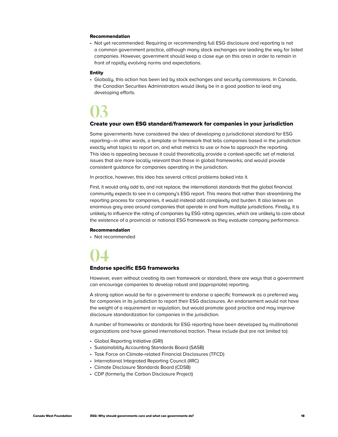#### Recommendation

• Not yet recommended. Requiring or recommending full ESG disclosure and reporting is not a common government practice, although many stock exchanges are leading the way for listed companies. However, government should keep a close eye on this area in order to remain in front of rapidly evolving norms and expectations.

#### Entity

• Globally, this action has been led by stock exchanges and security commissions. In Canada, the Canadian Securities Administrators would likely be in a good position to lead any developing efforts.

### **03**

#### Create your own ESG standard/framework for companies in your jurisdiction

Some governments have considered the idea of developing a jurisdictional standard for ESG reporting—in other words, a template or framework that tells companies based in the jurisdiction exactly what topics to report on, and what metrics to use or how to approach the reporting. This idea is appealing because it could theoretically provide a context-specific set of material issues that are more locally relevant than those in global frameworks; and would provide consistent guidance for companies operating in the jurisdiction.

In practice, however, this idea has several critical problems baked into it.

First, it would only add to, and not replace, the international standards that the global financial community expects to see in a company's ESG report. This means that rather than streamlining the reporting process for companies, it would instead add complexity and burden. It also leaves an enormous grey area around companies that operate in and from multiple jurisdictions. Finally, it is unlikely to influence the rating of companies by ESG rating agencies, which are unlikely to care about the existence of a provincial or national ESG framework as they evaluate company performance.

#### Recommendation

• Not recommended



#### Endorse specific ESG frameworks

However, even without creating its own framework or standard, there are ways that a government can encourage companies to develop robust and (appropriate) reporting.

A strong option would be for a government to endorse a specific framework as a preferred way for companies in its jurisdiction to report their ESG disclosures. An endorsement would not have the weight of a requirement or regulation, but would promote good practice and may improve disclosure standardization for companies in the jurisdiction.

A number of frameworks or standards for ESG reporting have been developed by multinational organizations and have gained international traction. These include (but are not limited to):

- Global Reporting Initiative (GRI)
- Sustainability Accounting Standards Board (SASB)
- Task Force on Climate-related Financial Disclosures (TFCD)
- International Integrated Reporting Council (IIRC)
- Climate Disclosure Standards Board (CDSB)
- CDP (formerly the Carbon Disclosure Project)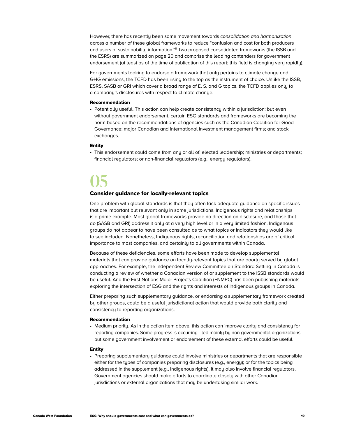However, there has recently been some movement towards *consolidation and harmonization* across a number of these global frameworks to reduce "confusion and cost for both producers and users of sustainability information."<sup>11</sup> Two proposed consolidated frameworks (the ISSB and the ESRS) are summarized on page 20 and comprise the leading contenders for government endorsement (at least as of the time of publication of this report; this field is changing very rapidly).

For governments looking to endorse a framework that only pertains to climate change and GHG emissions, the TCFD has been rising to the top as the instrument of choice. Unlike the ISSB, ESRS, SASB or GRI which cover a broad range of E, S, and G topics, the TCFD applies only to a company's disclosures with respect to climate change.

#### Recommendation

• Potentially useful. This action can help create consistency within a jurisdiction; but even without government endorsement, certain ESG standards and frameworks are becoming the norm based on the recommendations of agencies such as the Canadian Coalition for Good Governance; major Canadian and international investment management firms; and stock exchanges.

#### Entity

• This endorsement could come from any or all of: elected leadership; ministries or departments; financial regulators; or non-financial regulators (e.g., energy regulators).

### **05**

#### Consider guidance for locally-relevant topics

One problem with global standards is that they often lack adequate guidance on specific issues that are important but relevant only in some jurisdictions. Indigenous rights and relationships is a prime example. Most global frameworks provide no direction on disclosure, and those that do (SASB and GRI) address it only at a very high level or in a very limited fashion. Indigenous groups do not appear to have been consulted as to what topics or indicators they would like to see included. Nonetheless, Indigenous rights, reconciliation and relationships are of critical importance to most companies, and certainly to all governments within Canada.

Because of these deficiencies, some efforts have been made to develop supplemental materials that can provide guidance on locally-relevant topics that are poorly served by global approaches. For example, the Independent Review Committee on Standard Setting in Canada is conducting a review of whether a Canadian version of or supplement to the ISSB standards would be useful. And the First Nations Major Projects Coalition (FNMPC) has been publishing materials exploring the intersection of ESG and the rights and interests of Indigenous groups in Canada.

Either preparing such supplementary guidance, or endorsing a supplementary framework created by other groups, could be a useful jurisdictional action that would provide both clarity and consistency to reporting organizations.

#### Recommendation

• Medium priority. As in the action item above, this action can improve clarity and consistency for reporting companies. Some progress is occurring—led mainly by non-governmental organizations but some government involvement or endorsement of these external efforts could be useful.

#### Entity

• Preparing supplementary guidance could involve ministries or departments that are responsible either for the types of companies preparing disclosures (e.g., energy); or for the topics being addressed in the supplement (e.g., Indigenous rights). It may also involve financial regulators. Government agencies should make efforts to coordinate closely with other Canadian jurisdictions or external organizations that may be undertaking similar work.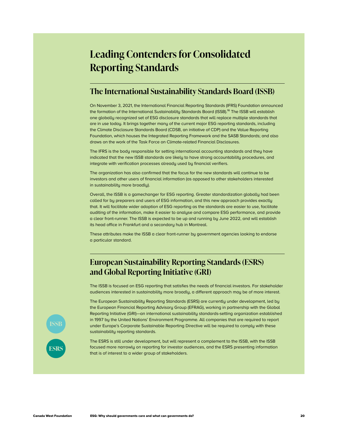### **Leading Contenders for Consolidated Reporting Standards**

#### **The International Sustainability Standards Board (ISSB)**

On November 3, 2021, the International Financial Reporting Standards (IFRS) Foundation announced the formation of the International Sustainability Standards Board (ISSB).<sup>16</sup> The ISSB will establish one globally recognized set of ESG disclosure standards that will replace multiple standards that are in use today. It brings together many of the current major ESG reporting standards, including the Climate Disclosure Standards Board (CDSB, an initiative of CDP) and the Value Reporting Foundation, which houses the Integrated Reporting Framework and the SASB Standards; and also draws on the work of the Task Force on Climate-related Financial Disclosures.

The IFRS is the body responsible for setting international accounting standards and they have indicated that the new ISSB standards are likely to have strong accountability procedures, and integrate with verification processes already used by financial verifiers.

The organization has also confirmed that the focus for the new standards will continue to be investors and other users of financial information (as opposed to other stakeholders interested in sustainability more broadly).

Overall, the ISSB is a gamechanger for ESG reporting. Greater standardization globally had been called for by preparers and users of ESG information, and this new approach provides exactly that. It will facilitate wider adoption of ESG reporting as the standards are easier to use, facilitate auditing of the information, make it easier to analyse and compare ESG performance, and provide a clear front-runner. The ISSB is expected to be up and running by June 2022, and will establish its head office in Frankfurt and a secondary hub in Montreal.

These attributes make the ISSB a clear front-runner by government agencies looking to endorse a particular standard.

#### **European Sustainability Reporting Standards (ESRS) and Global Reporting Initiative (GRI)**

The ISSB is focused on ESG reporting that satisfies the needs of financial investors. For stakeholder audiences interested in sustainability more broadly, a different approach may be of more interest.

The European Sustainability Reporting Standards (ESRS) are currently under development, led by the European Financial Reporting Advisory Group (EFRAG), working in partnership with the Global Reporting Initiative (GRI)—an international sustainability standards-setting organization established in 1997 by the United Nations' Environment Programme. All companies that are required to report under Europe's Corporate Sustainable Reporting Directive will be required to comply with these sustainability reporting standards.

The ESRS is still under development, but will represent a complement to the ISSB, with the ISSB focused more narrowly on reporting for investor audiences, and the ESRS presenting information that is of interest to a wider group of stakeholders.

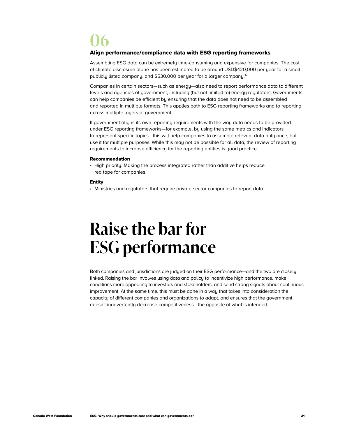### <span id="page-22-0"></span>**06**

#### Align performance/compliance data with ESG reporting frameworks

Assembling ESG data can be extremely time-consuming and expensive for companies. The cost of climate disclosure alone has been estimated to be around USD\$420,000 per year for a small publicly listed company, and \$530,000 per year for a larger company.<sup>17</sup>

Companies in certain sectors—such as energy—also need to report performance data to different levels and agencies of government, including (but not limited to) energy regulators. Governments can help companies be efficient by ensuring that the data does not need to be assembled and reported in multiple formats. This applies both to ESG reporting frameworks and to reporting across multiple layers of government.

If government aligns its own reporting requirements with the way data needs to be provided under ESG reporting frameworks—for example, by using the same metrics and indicators to represent specific topics—this will help companies to assemble relevant data only once, but use it for multiple purposes. While this may not be possible for all data, the review of reporting requirements to increase efficiency for the reporting entities is good practice.

#### Recommendation

• High priority. Making the process integrated rather than additive helps reduce red tape for companies.

#### Entity

• Ministries and regulators that require private-sector companies to report data.

### **Raise the bar for ESG performance**

Both companies and jurisdictions are judged on their ESG performance—and the two are closely linked. Raising the bar involves using data and policy to incentivize high performance, make conditions more appealing to investors and stakeholders, and send strong signals about continuous improvement. At the same time, this must be done in a way that takes into consideration the capacity of different companies and organizations to adapt, and ensures that the government doesn't inadvertently decrease competitiveness—the opposite of what is intended.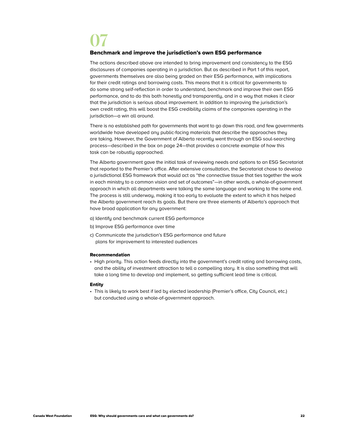### **07**

#### Benchmark and improve the jurisdiction's own ESG performance

The actions described above are intended to bring improvement and consistency to the ESG disclosures of companies operating in a jurisdiction. But as described in Part 1 of this report, governments themselves are also being graded on their ESG performance, with implications for their credit ratings and borrowing costs. This means that it is critical for governments to do some strong self-reflection in order to understand, benchmark and improve their own ESG performance, and to do this both honestly and transparently, and in a way that makes it clear that the jurisdiction is serious about improvement. In addition to improving the jurisdiction's own credit rating, this will boost the ESG credibility claims of the companies operating in the jurisdiction—a win all around.

There is no established path for governments that want to go down this road, and few governments worldwide have developed any public-facing materials that describe the approaches they are taking. However, the Government of Alberta recently went through an ESG soul-searching process—described in the box on page 24—that provides a concrete example of how this task can be robustly approached.

The Alberta government gave the initial task of reviewing needs and options to an ESG Secretariat that reported to the Premier's office. After extensive consultation, the Secretariat chose to develop a jurisdictional ESG framework that would act as "the connective tissue that ties together the work in each ministry to a common vision and set of outcomes"—in other words, a whole-of-government approach in which all departments were talking the same language and working to the same end. The process is still underway, making it too early to evaluate the extent to which it has helped the Alberta government reach its goals. But there are three elements of Alberta's approach that have broad application for any government:

- a) Identify and benchmark current ESG performance
- b) Improve ESG performance over time
- c) Communicate the jurisdiction's ESG performance and future plans for improvement to interested audiences

#### Recommendation

• High priority. This action feeds directly into the government's credit rating and borrowing costs, and the ability of investment attraction to tell a compelling story. It is also something that will take a long time to develop and implement, so getting sufficient lead time is critical.

#### Entity

• This is likely to work best if led by elected leadership (Premier's office, City Council, etc.) but conducted using a whole-of-government approach.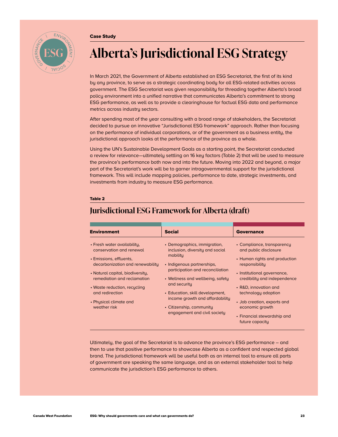#### Case Study



### **Alberta's Jurisdictional ESG Strategy**

In March 2021, the Government of Alberta established an ESG Secretariat, the first of its kind by any province, to serve as a strategic coordinating body for all ESG-related activities across government. The ESG Secretariat was given responsibility for threading together Alberta's broad policy environment into a unified narrative that communicates Alberta's commitment to strong ESG performance, as well as to provide a clearinghouse for factual ESG data and performance metrics across industry sectors.

After spending most of the year consulting with a broad range of stakeholders, the Secretariat decided to pursue an innovative "Jurisdictional ESG framework" approach. Rather than focusing on the performance of individual corporations, or of the government as a business entity, the jurisdictional approach looks at the performance of the province as a whole.

Using the UN's Sustainable Development Goals as a starting point, the Secretariat conducted a review for relevance—ultimately settling on 16 key factors (Table 2) that will be used to measure the province's performance both now and into the future. Moving into 2022 and beyond, a major part of the Secretariat's work will be to garner intragovernmental support for the jurisdictional framework. This will include mapping policies, performance to date, strategic investments, and investments from industry to measure ESG performance.

#### Table 2

#### Environment Social Governance • Fresh water availability, conservation and renewal • Emissions, effluents, decarbonization and renewability • Natural capital, biodiversity, remediation and reclamation • Waste reduction, recycling and redirection • Phusical climate and weather risk • Demographics, immigration, inclusion, diversity and social mobility • Indigenous partnerships, participation and reconciliation • Wellness and wellbeing, safety and security • Education, skill development, income growth and affordability • Citizenship, community engagement and civil society • Compliance, transparency and public disclosure • Human rights and production responsibility • Institutional governance, credibility and independence • R&D, innovation and technology adoption • Job creation, exports and economic growth • Financial stewardship and future capacity

#### **Jurisdictional ESG Framework for Alberta (draft)**

Ultimately, the goal of the Secretariat is to advance the province's ESG performance – and then to use that positive performance to showcase Alberta as a confident and respected global brand. The jurisdictional framework will be useful both as an internal tool to ensure all parts of government are speaking the same language, and as an external stakeholder tool to help communicate the jurisdiction's ESG performance to others.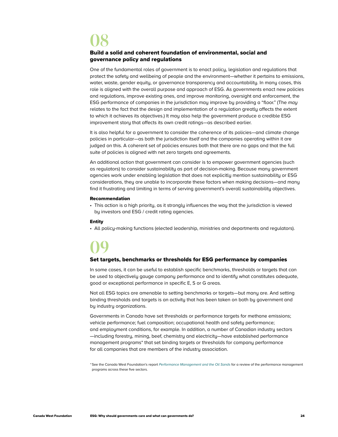### **08**

#### Build a solid and coherent foundation of environmental, social and governance policy and regulations

One of the fundamental roles of government is to enact policy, legislation and regulations that protect the safety and wellbeing of people and the environment—whether it pertains to emissions, water, waste, gender equity, or governance transparency and accountability. In many cases, this role is aligned with the overall purpose and approach of ESG. As governments enact new policies and regulations, improve existing ones, and improve monitoring, oversight and enforcement, the ESG performance of companies in the jurisdiction may improve by providing a "floor." (The *may* relates to the fact that the design and implementation of a regulation greatly affects the extent to which it achieves its objectives.) It may also help the government produce a credible ESG improvement story that affects its own credit ratings—as described earlier.

It is also helpful for a government to consider the coherence of its policies—and climate change policies in particular—as both the jurisdiction itself and the companies operating within it are judged on this. A coherent set of policies ensures both that there are no gaps and that the full suite of policies is aligned with net zero targets and agreements.

An additional action that government can consider is to empower government agencies (such as regulators) to consider sustainability as part of decision-making. Because many government agencies work under enabling legislation that does not explicitly mention sustainability or ESG considerations, they are unable to incorporate these factors when making decisions—and many find it frustrating and limiting in terms of serving government's overall sustainability objectives.

#### Recommendation

• This action is a high priority, as it strongly influences the way that the jurisdiction is viewed by investors and ESG / credit rating agencies.

#### Entity

• All policy-making functions (elected leadership, ministries and departments and regulators).

### **09**

#### Set targets, benchmarks or thresholds for ESG performance by companies

In some cases, it can be useful to establish specific benchmarks, thresholds or targets that can be used to objectively gauge company performance and to identify what constitutes adequate, good or exceptional performance in specific E, S or G areas.

Not all ESG topics are amenable to setting benchmarks or targets—but many are. And setting binding thresholds and targets is an activity that has been taken on both by government and by industry organizations.

Governments in Canada have set thresholds or performance targets for methane emissions; vehicle performance; fuel composition; occupational health and safety performance; and employment conditions, for example. In addition, a number of Canadian industry sectors —including forestry, mining, beef, chemistry and electricity—have established performance management programs\* that set binding targets or thresholds for company performance for all companies that are members of the industry association.

\*See the Canada West Foundation's report *[Performance Management and the Oil Sands](https://cwf.ca/research/publications/report-performance-management-and-the-oil-sands/)* for a review of the performance management programs across these five sectors.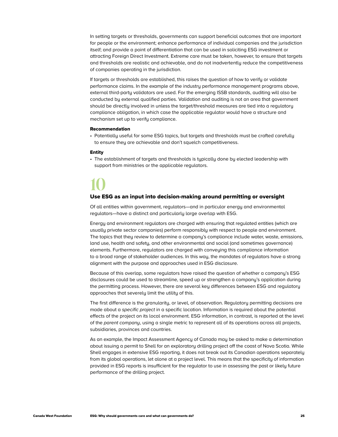In setting targets or thresholds, governments can support beneficial outcomes that are important for people or the environment; enhance performance of individual companies and the jurisdiction itself; and provide a point of differentiation that can be used in soliciting ESG investment or attracting Foreign Direct Investment. Extreme care must be taken, however, to ensure that targets and thresholds are realistic and achievable, and do not inadvertently reduce the competitiveness of companies operating in the jurisdiction.

If targets or thresholds are established, this raises the question of how to verify or validate performance claims. In the example of the industry performance management programs above, external third-party validators are used. For the emerging ISSB standards, auditing will also be conducted by external qualified parties. Validation and auditing is not an area that government should be directly involved in unless the target/threshold measures are tied into a regulatory compliance obligation, in which case the applicable regulator would have a structure and mechanism set up to verify compliance.

#### Recommendation

• Potentially useful for some ESG topics, but targets and thresholds must be crafted carefully to ensure they are achievable and don't squelch competitiveness.

#### Entity

• The establishment of targets and thresholds is typically done by elected leadership with support from ministries or the applicable regulators.

### **10**

#### Use ESG as an input into decision-making around permitting or oversight

Of all entities within government, regulators—and in particular energy and environmental regulators—have a distinct and particularly large overlap with ESG.

Energy and environment regulators are charged with ensuring that regulated entities (which are usually private sector companies) perform responsibly with respect to people and environment. The topics that they review to determine a company's compliance include water, waste, emissions, land use, health and safety, and other environmental and social (and sometimes governance) elements. Furthermore, regulators are charged with conveying this compliance information to a broad range of stakeholder audiences. In this way, the mandates of regulators have a strong alignment with the purpose and approaches used in ESG disclosure.

Because of this overlap, some regulators have raised the question of whether a company's ESG disclosures could be used to streamline, speed up or strengthen a company's application during the permitting process. However, there are several key differences between ESG and regulatory approaches that severely limit the utility of this.

The first difference is the granularity, or level, of observation. Regulatory permitting decisions are made about a specific project in a specific location. Information is required about the potential effects of the project on its local environment. ESG information, in contrast, is reported at the level of the *parent company*, using a single metric to represent all of its operations across all projects, subsidiaries, provinces and countries.

As an example, the Impact Assessment Agency of Canada may be asked to make a determination about issuing a permit to Shell for an exploratory drilling project off the coast of Nova Scotia. While Shell engages in extensive ESG reporting, it does not break out its Canadian operations separately from its global operations, let alone at a project level. This means that the specificity of information provided in ESG reports is insufficient for the regulator to use in assessing the past or likely future performance of the drilling project.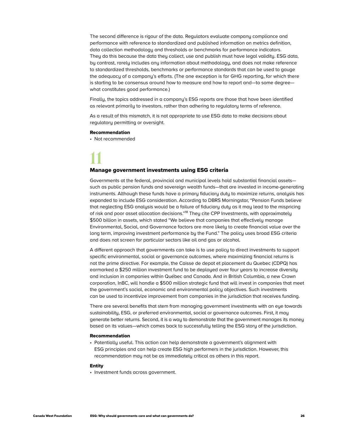The second difference is rigour of the data. Regulators evaluate company compliance and performance with reference to standardized and published information on metrics definition, data collection methodology and thresholds or benchmarks for performance indicators. They do this because the data they collect, use and publish must have legal validity. ESG data, by contrast, rarely includes any information about methodology, and does not make reference to standardized thresholds, benchmarks or performance standards that can be used to gauge the adequacy of a company's efforts. (The one exception is for GHG reporting, for which there is starting to be consensus around how to measure and how to report and—to some degree what constitutes good performance.)

Finally, the topics addressed in a company's ESG reports are those that have been identified as relevant primarily to investors, rather than adhering to regulatory terms of reference.

As a result of this mismatch, it is not appropriate to use ESG data to make decisions about regulatory permitting or oversight.

#### Recommendation

• Not recommended

### **11**

#### Manage government investments using ESG criteria

Governments at the federal, provincial and municipal levels hold substantial financial assets such as public pension funds and sovereign wealth funds—that are invested in income-generating instruments. Although these funds have a primary fiduciary duty to maximize returns, analysis has expanded to include ESG consideration. According to DBRS Morningstar, "Pension Funds believe that neglecting ESG analysis would be a failure of fiduciary duty as it may lead to the mispricing of risk and poor asset allocation decisions."<sup>18</sup> They cite CPP Investments, with approximately \$500 billion in assets, which stated "We believe that companies that effectively manage Environmental, Social, and Governance factors are more likely to create financial value over the long term, improving investment performance by the Fund." The policy uses broad ESG criteria and does not screen for particular sectors like oil and gas or alcohol.

A different approach that governments can take is to use policy to direct investments to support specific environmental, social or governance outcomes, where maximizing financial returns is not the prime directive. For example, the Caisse de depot et placement du Quebec (CDPQ) has earmarked a \$250 million investment fund to be deployed over four years to increase diversity and inclusion in companies within Québec and Canada. And in British Columbia, a new Crown corporation, InBC, will handle a \$500 million strategic fund that will invest in companies that meet the government's social, economic and environmental policy objectives. Such investments can be used to incentivize improvement from companies in the jurisdiction that receives funding.

There are several benefits that stem from managing government investments with an eye towards sustainability, ESG, or preferred environmental, social or governance outcomes. First, it may generate better returns. Second, it is a way to demonstrate that the government manages its money based on its values—which comes back to successfully telling the ESG story of the jurisdiction.

#### Recommendation

• Potentially useful. This action can help demonstrate a government's alignment with ESG principles and can help create ESG high performers in the jurisdiction. However, this recommendation may not be as immediately critical as others in this report.

#### Entity

• Investment funds across government.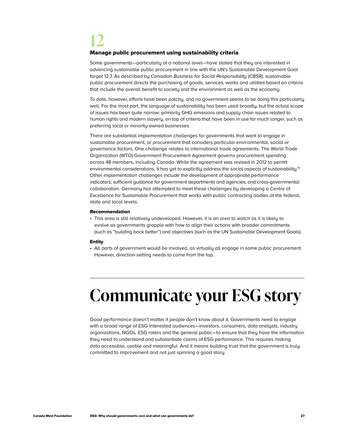### <span id="page-28-0"></span>**12**

#### Manage public procurement using sustainability criteria

Some governments—particularly at a national level—have stated that they are interested in advancing sustainable public procurement in line with the UN's Sustainable Development Goal target 12.7. As described by *Canadian Business for Social Responsibility (CBSR)*, sustainable public procurement directs the purchasing of goods, services, works and utilities based on criteria that include the overall benefit to society and the environment as well as the economy.

To date, however, efforts have been patchy, and no government seems to be doing this particularly well. For the most part, the language of sustainability has been used broadly, but the actual scope of issues has been quite narrow: primarily GHG emissions and supply chain issues related to human rights and modern slavery, on top of criteria that have been in use for much longer, such as preferring local or minority-owned businesses.

There are substantial implementation challenges for governments that want to engage in sustainable procurement, or procurement that considers particular environmental, social or governance factors. One challenge relates to international trade agreements. The World Trade Organization (WTO) Government Procurement Agreement governs procurement spending across 48 members, including Canada. While the agreement was revised in 2012 to permit environmental considerations, it has yet to explicitly address the social aspects of sustainability.<sup>19</sup> Other implementation challenges include the development of appropriate performance indicators; sufficient guidance for government departments and agencies; and cross-governmental collaboration. Germany has attempted to meet these challenges by developing a Centre of Excellence for Sustainable Procurement that works with public contracting bodies at the federal, state and local levels.

#### Recommendation

• This area is still relatively undeveloped. However, it is an area to watch as it is likely to evolve as governments grapple with how to align their actions with broader commitments (such as "building back better") and objectives (such as the UN Sustainable Development Goals).

#### Entity

• All parts of government would be involved, as virtually all engage in some public procurement. However, direction-setting needs to come from the top.

### **Communicate your ESG story**

Good performance doesn't matter if people don't know about it. Governments need to engage with a broad range of ESG-interested audiences—investors, consumers, data analysts, industry organizations, NGOs, ESG raters and the general public—to ensure that they have the information they need to understand and substantiate claims of ESG performance. This requires making data accessible, usable and meaningful. And it means building trust that the government is truly committed to improvement and not just spinning a good story.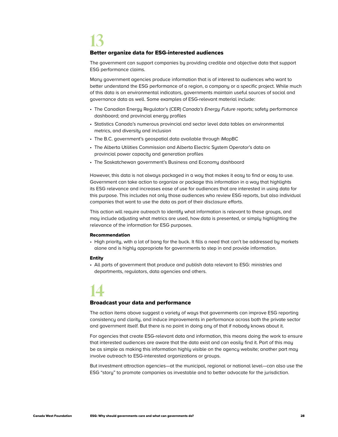### **13**

#### Better organize data for ESG-interested audiences

The government can support companies by providing credible and objective data that support ESG performance claims.

Many government agencies produce information that is of interest to audiences who want to better understand the ESG performance of a region, a company or a specific project. While much of this data is on environmental indicators, governments maintain useful sources of social and governance data as well. Some examples of ESG-relevant material include:

- The Canadian Energy Regulator's (CER) *Canada's Energy Future* reports; safety performance dashboard; and provincial energy profiles
- Statistics Canada's numerous provincial and sector level data tables on environmental metrics, and diversity and inclusion
- The B.C. government's geospatial data available through iMapBC
- The Alberta Utilities Commission and Alberta Electric System Operator's data on provincial power capacity and generation profiles
- The Saskatchewan government's Business and Economy dashboard

However, this data is not always packaged in a way that makes it easy to find or easy to use. Government can take action to organize or package this information in a way that highlights its ESG relevance and increases ease of use for audiences that are interested in using data for this purpose. This includes not only those audiences who review ESG reports, but also individual companies that want to use the data as part of their disclosure efforts.

This action will require outreach to identify what information is relevant to these groups, and may include adjusting what metrics are used, how data is presented, or simply highlighting the relevance of the information for ESG purposes.

#### Recommendation

• High priority, with a lot of bang for the buck. It fills a need that can't be addressed by markets alone and is highly appropriate for governments to step in and provide information.

#### Entity

• All parts of government that produce and publish data relevant to ESG: ministries and departments, regulators, data agencies and others.

### **14**

#### Broadcast your data and performance

The action items above suggest a variety of ways that governments can improve ESG reporting consistency and clarity, and induce improvements in performance across both the private sector and government itself. But there is no point in doing any of that if nobody knows about it.

For agencies that create ESG-relevant data and information, this means doing the work to ensure that interested audiences are aware that the data exist and can easily find it. Part of this may be as simple as making this information highly visible on the agency website; another part may involve outreach to ESG-interested organizations or groups.

But investment attraction agencies—at the municipal, regional or national level—can also use the ESG "story" to promote companies as investable and to better advocate for the jurisdiction.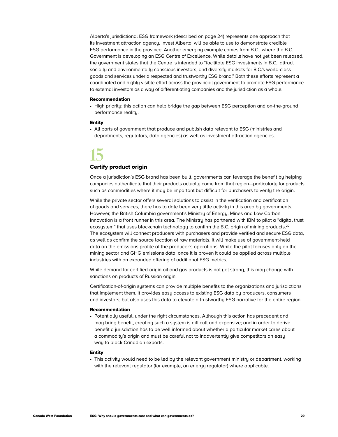Alberta's jurisdictional ESG framework (described on page 24) represents one approach that its investment attraction agency, Invest Alberta, will be able to use to demonstrate credible ESG performance in the province. Another emerging example comes from B.C., where the B.C. Government is developing an ESG Centre of Excellence. While details have not yet been released, the government states that the Centre is intended to "facilitate ESG investments in B.C., attract socially and environmentally conscious investors, and diversify markets for B.C.'s world-class goods and services under a respected and trustworthy ESG brand." Both these efforts represent a coordinated and highly visible effort across the provincial government to promote ESG performance to external investors as a way of differentiating companies and the jurisdiction as a whole.

#### Recommendation

• High priority; this action can help bridge the gap between ESG perception and on-the-ground performance reality.

#### Entity

• All parts of government that produce and publish data relevant to ESG (ministries and departments, regulators, data agencies) as well as investment attraction agencies.

### **15**

#### Certify product origin

Once a jurisdiction's ESG brand has been built, governments can leverage the benefit by helping companies authenticate that their products actually come from that region—particularly for products such as commodities where it may be important but difficult for purchasers to verify the origin.

While the private sector offers several solutions to assist in the verification and certification of goods and services, there has to date been very little activity in this area by governments. However, the British Columbia government's Ministry of Energy, Mines and Low Carbon Innovation is a front runner in this area. The Ministry has partnered with IBM to pilot a "digital trust ecosystem" that uses blockchain technology to confirm the B.C. origin of mining products.<sup>20</sup> The ecosystem will connect producers with purchasers and provide verified and secure ESG data, as well as confirm the source location of raw materials. It will make use of government-held data on the emissions profile of the producer's operations. While the pilot focuses only on the mining sector and GHG emissions data, once it is proven it could be applied across multiple industries with an expanded offering of additional ESG metrics.

While demand for certified-origin oil and gas products is not yet strong, this may change with sanctions on products of Russian origin.

Certification-of-origin systems can provide multiple benefits to the organizations and jurisdictions that implement them. It provides easy access to existing ESG data by producers, consumers and investors; but also uses this data to elevate a trustworthy ESG narrative for the entire region.

#### Recommendation

• Potentially useful, under the right circumstances. Although this action has precedent and may bring benefit, creating such a system is difficult and expensive; and in order to derive benefit a jurisdiction has to be well informed about whether a particular market cares about a commodity's origin and must be careful not to inadvertently give competitors an easy way to block Canadian exports.

#### Entity

• This activity would need to be led by the relevant government ministry or department, working with the relevant regulator (for example, an energy regulator) where applicable.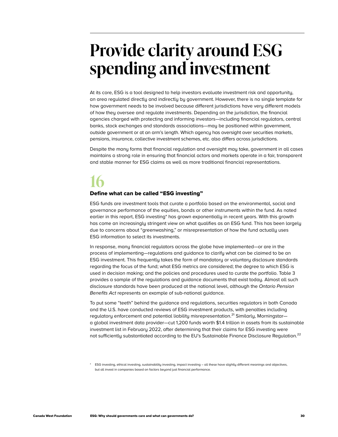### <span id="page-31-0"></span>**Provide clarity around ESG spending and investment**

At its core, ESG is a tool designed to help investors evaluate investment risk and opportunity, an area regulated directly and indirectly by government. However, there is no single template for how government needs to be involved because different jurisdictions have very different models of how they oversee and regulate investments. Depending on the jurisdiction, the financial agencies charged with protecting and informing investors—including financial regulators, central banks, stock exchanges and standards associations—may be positioned within government, outside government or at an arm's length. Which agency has oversight over securities markets, pensions, insurance, collective investment schemes, etc. also differs across jurisdictions.

Despite the many forms that financial regulation and oversight may take, government in all cases maintains a strong role in ensuring that financial actors and markets operate in a fair, transparent and stable manner for ESG claims as well as more traditional financial representations.

### **16**

#### Define what can be called "ESG investing"

ESG funds are investment tools that curate a portfolio based on the environmental, social and governance performance of the equities, bonds or other instruments within the fund. As noted earlier in this report, ESG investing\* has grown exponentially in recent years. With this growth has come an increasingly stringent view on what qualifies as an ESG fund. This has been largely due to concerns about "greenwashing," or misrepresentation of how the fund actually uses ESG information to select its investments.

In response, many financial regulators across the globe have implemented—or are in the process of implementing—regulations and guidance to clarify what can be claimed to be an ESG investment. This frequently takes the form of mandatory or voluntary disclosure standards regarding the focus of the fund; what ESG metrics are considered; the degree to which ESG is used in decision making; and the policies and procedures used to curate the portfolio. Table 3 provides a sample of the regulations and guidance documents that exist today. Almost all such disclosure standards have been produced at the national level, although the *Ontario Pension*  Benefits Act represents an example of sub-national guidance.

To put some "teeth" behind the guidance and regulations, securities regulators in both Canada and the U.S. have conducted reviews of ESG investment products, with penalties including regulatory enforcement and potential liability misrepresentation.<sup>21</sup> Similarly, Morningstar a global investment data provider—cut 1,200 funds worth \$1.4 trillion in assets from its sustainable investment list in February 2022, after determining that their claims for ESG investing were not sufficiently substantiated according to the EU's Sustainable Finance Disclosure Regulation.<sup>22</sup>

\* ESG investing, ethical investing, sustainability investing, impact investing – all these have slightly different meanings and objectives, but all invest in companies based on factors beyond just financial performance.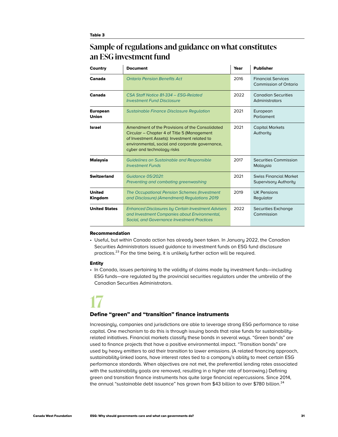#### **Sample of regulations and guidance on what constitutes an ESG investment fund**

| Country                         | <b>Document</b>                                                                                                                                                                                                                 | Year | <b>Publisher</b>                                       |
|---------------------------------|---------------------------------------------------------------------------------------------------------------------------------------------------------------------------------------------------------------------------------|------|--------------------------------------------------------|
| Canada                          | <b>Ontario Pension Renefits Act</b>                                                                                                                                                                                             | 2016 | <b>Financial Services</b><br>Commission of Ontario     |
| Canada                          | CSA Staff Notice 81-334 - FSG-Related<br><b>Investment Fund Disclosure</b>                                                                                                                                                      | 2022 | Canadian Securities<br>Administrators                  |
| <b>European</b><br><b>Union</b> | <b>Sustainable Finance Disclosure Regulation</b>                                                                                                                                                                                | 2021 | European<br>Parliament                                 |
| <b>Israel</b>                   | Amendment of the Provisions of the Consolidated<br>Circular - Chapter 4 of Title 5 (Management<br>of Investment Assets): Investment related to<br>environmental, social and corporate governance,<br>cyber and technology risks | 2021 | <b>Capital Markets</b><br>Authority                    |
| Malaysia                        | <b>Guidelines on Sustainable and Responsible</b><br><b>Investment Funds</b>                                                                                                                                                     | 2017 | Securities Commission<br>Malaysia                      |
| <b>Switzerland</b>              | Guidance 0.5/2021<br>Preventing and combating greenwashing                                                                                                                                                                      | 2021 | <b>Swiss Financial Market</b><br>Supervisory Authority |
| <b>United</b><br>Kingdom        | The Occupational Pension Schemes (Investment<br>and Disclosure) (Amendment) Regulations 2019                                                                                                                                    | 2019 | <b>UK Pensions</b><br>Regulator                        |
| <b>United States</b>            | <b>Enhanced Disclosures by Certain Investment Advisers</b><br>and Investment Companies about Environmental,<br><b>Social, and Governance Investment Practices</b>                                                               | 2022 | Securities Exchange<br>Commission                      |

#### Recommendation

• Useful, but within Canada action has already been taken. In January 2022, the Canadian Securities Administrators issued guidance to investment funds on ESG fund disclosure practices.<sup>23</sup> For the time being, it is unlikely further action will be required.

#### Entity

• In Canada, issues pertaining to the validity of claims made by investment funds—including ESG funds—are regulated by the provincial securities regulators under the umbrella of the Canadian Securities Administrators.

### **17**

#### Define "green" and "transition" finance instruments

Increasingly, companies and jurisdictions are able to leverage strong ESG performance to raise capital. One mechanism to do this is through issuing bonds that raise funds for sustainabilityrelated initiatives. Financial markets classify these bonds in several ways. "Green bonds" are used to finance projects that have a positive environmental impact. "Transition bonds" are used by heavy emitters to aid their transition to lower emissions. (A related financing approach, sustainability-linked loans, have interest rates tied to a company's ability to meet certain ESG performance standards. When objectives are not met, the preferential lending rates associated with the sustainability goals are removed, resulting in a higher rate of borrowing.) Defining green and transition finance instruments has quite large financial repercussions. Since 2014, the annual "sustainable debt issuance" has grown from \$43 billion to over \$780 billion.<sup>24</sup>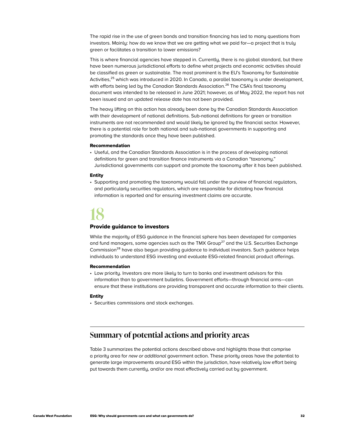<span id="page-33-0"></span>The rapid rise in the use of green bonds and transition financing has led to many questions from investors. Mainly: how do we know that we are getting what we paid for—a project that is truly green or facilitates a transition to lower emissions?

This is where financial agencies have stepped in. Currently, there is no global standard, but there have been numerous jurisdictional efforts to define what projects and economic activities should be classified as green or sustainable. The most prominent is the EU's Taxonomy for Sustainable Activities,<sup>25</sup> which was introduced in 2020. In Canada, a parallel taxonomy is under development, with efforts being led by the Canadian Standards Association.<sup>26</sup> The CSA's final taxonomy document was intended to be released in June 2021; however, as of May 2022, the report has not been issued and an updated release date has not been provided.

The heavy lifting on this action has already been done by the Canadian Standards Association with their development of national definitions. Sub-national definitions for green or transition instruments are not recommended and would likely be ignored by the financial sector. However, there is a potential role for both national and sub-national governments in supporting and promoting the standards once they have been published.

#### Recommendation

• Useful, and the Canadian Standards Association is in the process of developing national definitions for green and transition finance instruments via a Canadian "taxonomy." Jurisdictional governments can support and promote the taxonomy after it has been published.

#### Entity

• Supporting and promoting the taxonomy would fall under the purview of financial regulators, and particularly securities regulators, which are responsible for dictating how financial information is reported and for ensuring investment claims are accurate.

### **18**

#### Provide guidance to investors

While the majority of ESG guidance in the financial sphere has been developed for companies and fund managers, some agencies such as the TMX Group<sup>27</sup> and the U.S. Securities Exchange Commission<sup>28</sup> have also begun providing guidance to individual investors. Such guidance helps individuals to understand ESG investing and evaluate ESG-related financial product offerings.

#### Recommendation

• Low priority. Investors are more likely to turn to banks and investment advisors for this information than to government bulletins. Government efforts—through financial arms—can ensure that these institutions are providing transparent and accurate information to their clients.

#### Entity

• Securities commissions and stock exchanges.

#### **Summary of potential actions and priority areas**

Table 3 summarizes the potential actions described above and highlights those that comprise a priority area for *new or additional* government action. These priority areas have the potential to generate large improvements around ESG within the jurisdiction, have relatively low effort being put towards them currently, and/or are most effectively carried out by government.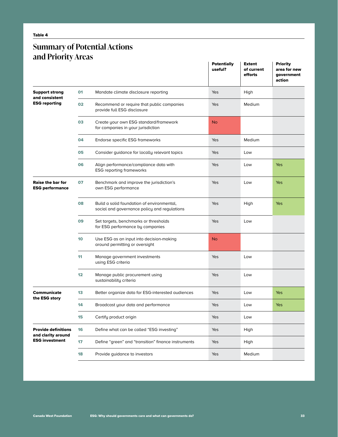#### **Summary of Potential Actions and Priority Areas**

|                                                    |                 |                                                                                            | <b>Potentially</b><br>useful? | <b>Extent</b><br>of current<br>efforts | <b>Priority</b><br>area for new<br>government<br>action |
|----------------------------------------------------|-----------------|--------------------------------------------------------------------------------------------|-------------------------------|----------------------------------------|---------------------------------------------------------|
| <b>Support strong</b><br>and consistent            | 01              | Mandate climate disclosure reporting                                                       | Yes                           | High                                   |                                                         |
| <b>ESG reporting</b>                               | 02              | Recommend or require that public companies<br>provide full ESG disclosure                  | Yes                           | <b>Medium</b>                          |                                                         |
|                                                    | 03              | Create your own ESG standard/framework<br>for companies in your jurisdiction               | <b>No</b>                     |                                        |                                                         |
|                                                    | 04              | Endorse specific ESG frameworks                                                            | Yes                           | Medium                                 |                                                         |
|                                                    | 05              | Consider guidance for locally relevant topics                                              | Yes                           | Low                                    |                                                         |
|                                                    | 06              | Align performance/compliance data with<br><b>ESG reporting frameworks</b>                  | Yes                           | Low                                    | Yes                                                     |
| <b>Raise the bar for</b><br><b>ESG performance</b> | 07              | Benchmark and improve the jurisdiction's<br>own ESG performance                            | Yes                           | Low                                    | Yes                                                     |
|                                                    | 80              | Build a solid foundation of environmental,<br>social and governance policy and regulations | Yes                           | High                                   | Yes                                                     |
|                                                    | 09              | Set targets, benchmarks or thresholds<br>for ESG performance by companies                  | Yes                           | Low                                    |                                                         |
|                                                    | 10 <sup>1</sup> | Use ESG as an input into decision-making<br>around permitting or oversight                 | <b>No</b>                     |                                        |                                                         |
|                                                    | 11              | Manage government investments<br>using ESG criteria                                        | Yes                           | Low                                    |                                                         |
|                                                    | 12              | Manage public procurement using<br>sustainability criteria                                 | Yes                           | Low                                    |                                                         |
| Communicate<br>the ESG story                       | 13              | Better organize data for ESG-interested audiences                                          | Yes                           | Low                                    | <b>Yes</b>                                              |
|                                                    | 14              | Broadcast your data and performance                                                        | Yes                           | Low                                    | Yes                                                     |
|                                                    | 15              | Certifu product origin                                                                     | Yes                           | Low                                    |                                                         |
| <b>Provide definitions</b><br>and clarity around   | 16              | Define what can be called "ESG investing"                                                  | Yes                           | High                                   |                                                         |
| <b>ESG investment</b>                              | 17              | Define "green" and "transition" finance instruments                                        | Yes                           | High                                   |                                                         |
|                                                    | 18              | Provide guidance to investors                                                              | Yes                           | Medium                                 |                                                         |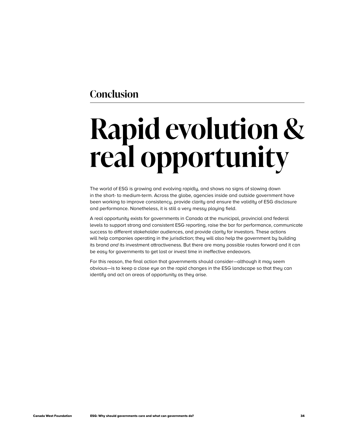#### <span id="page-35-0"></span>**Conclusion**

# **Rapid evolution & real opportunity**

The world of ESG is growing and evolving rapidly, and shows no signs of slowing down in the short- to medium-term. Across the globe, agencies inside and outside government have been working to improve consistency, provide clarity and ensure the validity of ESG disclosure and performance. Nonetheless, it is still a very messy playing field.

A real opportunity exists for governments in Canada at the municipal, provincial and federal levels to support strong and consistent ESG reporting, raise the bar for performance, communicate success to different stakeholder audiences, and provide clarity for investors. These actions will help companies operating in the jurisdiction; they will also help the government by building its brand *and* its investment attractiveness. But there are many possible routes forward and it can be easy for governments to get lost or invest time in ineffective endeavors.

For this reason, the final action that governments should consider—although it may seem obvious—is to keep a close eye on the rapid changes in the ESG landscape so that they can identify and act on areas of opportunity as they arise.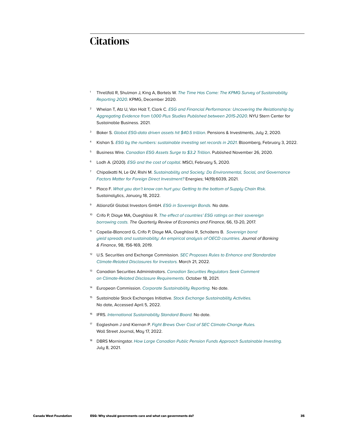#### **Citations**

- <sup>1</sup> Threllfall R, Shulman J, King A, Bartels W. *[The Time Has Come: The KPMG Survey of Sustainability](https://home.kpmg/xx/en/home/insights/2020/11/the-time-has-come-survey-of-sustainability-reporting.html)  [Reporting 2020](https://home.kpmg/xx/en/home/insights/2020/11/the-time-has-come-survey-of-sustainability-reporting.html)*. KPMG, December 2020.
- <sup>2</sup> Whelan T, Atz U, Van Holt T, Clark C. *[ESG and Financial Performance: Uncovering the Relationship by](https://www.stern.nyu.edu/sites/default/files/assets/documents/NYU-RAM_ESG-Paper_2021.pdf)*  [Aggregating Evidence from 1,000 Plus Studies Published between 2015-2020](https://www.stern.nyu.edu/sites/default/files/assets/documents/NYU-RAM_ESG-Paper_2021.pdf). NYU Stern Center for Sustainable Business. 2021.
- <sup>3</sup> Baker S. [Global ESG-data driven assets hit \\$40.5 trillion](https://www.pionline.com/esg/global-esg-data-driven-assets-hit-405-trillion). Pensions & Investments, July 2, 2020.
- Kishan S. [ESG by the numbers: sustainable investing set records in 2021](https://www.bloomberg.com/news/articles/2022-02-03/esg-by-the-numbers-sustainable-investing-set-records-in-2021). Bloomberg, February 3, 2022.
- <sup>5</sup> Business Wire. [Canadian ESG Assets Surge to \\$3.2 Trillion](https://www.businesswire.com/news/home/20201126005473/en/Canadian-ESG-Assets-Surge-to-3.2-Trillion). Published November 26, 2020.
- <sup>6</sup> Lodh A. (2020). *[ESG and the cost of capital](https://www.msci.com/www/blog-posts/esg-and-the-cost-of-capital/01726513589)*. MSCI, February 5, 2020.
- <sup>7</sup> Chipalkatti N, Le QV, Rishi M. *[Sustainability and Society: Do Environmental, Social, and Governance](https://www.mdpi.com/1996-1073/14/19/6039)  [Factors Matter for Foreign Direct Investment?](https://www.mdpi.com/1996-1073/14/19/6039)* Energies; 14(19):6039, 2021.
- <sup>8</sup> Placa F. *[What you don't know can hurt you: Getting to the bottom of Supply Chain Risk.](https://www.sustainalytics.com/esg-research/resource/corporate-esg-blog/understanding-supply-chain-risk-sustainability)* Sustainalytics, January 18, 2022.
- <sup>9</sup> AllianzGI Global Investors GmbH. *[ESG in Sovereign Bonds.](https://es.allianzgi.com/-/media/allianzgi/eu/makler-spain-new/documents/sri-seminar/esg-in-sovereign-bonds.pdf%5d)* No date.
- Crifo P, Diaye MA, Oueghlissi R. The effect of countries' ESG ratings on their sovereign *[borrowing costs.](https://www.sciencedirect.com/science/article/abs/pii/S1062976917301497) The Quarterly Review of Economics and Finance*, 66, 13-20, 2017.
- <sup>11</sup> Capelle-Blancard G, Crifo P, Diaye MA, Oueghlissi R, Scholtens B. *[Sovereign bond](https://www.sciencedirect.com/science/article/abs/pii/S037842661830253X)  [yield spreads and sustainability: An empirical analysis of OECD countries.](https://www.sciencedirect.com/science/article/abs/pii/S037842661830253X) Journal of Banking & Finance*, 98, 156-169, 2019.
- <sup>12</sup> U.S. Securities and Exchange Commission. *[SEC Proposes Rules to Enhance and Standardize](https://www.sec.gov/news/press-release/2022-46)*  [Climate-Related Disclosures for Investors.](https://www.sec.gov/news/press-release/2022-46) March 21, 2022.
- <sup>13</sup> Canadian Securities Administrators. *[Canadian Securities Regulators Seek Comment](https://www.securities-administrators.ca/news/canadian-securities-regulators-seek-comment-on-climate-related-disclosure-requirements/)*  [on Climate-Related Disclosure Requirements.](https://www.securities-administrators.ca/news/canadian-securities-regulators-seek-comment-on-climate-related-disclosure-requirements/) October 18, 2021.
- <sup>14</sup> European Commission. *[Corporate Sustainability Reporting.](https://ec.europa.eu/info/business-economy-euro/company-reporting-and-auditing/company-reporting/corporate-sustainability-reporting_en)* No date.
- <sup>15</sup> Sustainable Stock Exchanges Initiative. *[Stock Exchange Sustainability Activities.](https://sseinitiative.org/)* No date, Accessed April 5, 2022.
- <sup>16</sup> IFRS. *[International Sustainability Standard Board.](https://www.ifrs.org/groups/international-sustainability-standards-board/)* No date.
- <sup>17</sup> Eaglesham J and Kiernan P. [Fight Brews Over Cost of SEC Climate-Change Rules.](https://www.wsj.com/articles/fight-brews-over-cost-of-sec-climate-change-rules-11652779802) Wall Street Journal, May 17, 2022.
- <sup>18</sup> DBRS Morningstar. *[How Large Canadian Public Pension Funds Approach Sustainable Investing.](https://www.dbrsmorningstar.com/research/381403/how-large-canadian-public-pension-funds-approach-sustainable-investing)* July 8, 2021.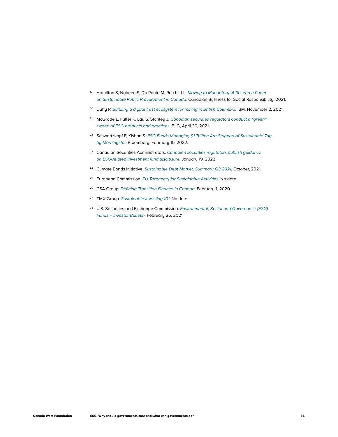- <sup>19</sup> Hamilton S, Naheen S, Da Ponte M, Rotchild L. *[Moving to Mandatory: A Research Paper](https://cbsr.ca/wp-content/uploads/2022/03/CBSR_Moving-to-Mandatory.pdf)  [on Sustainable Public Procurement in Canada.](https://cbsr.ca/wp-content/uploads/2022/03/CBSR_Moving-to-Mandatory.pdf)* Canadian Business for Social Responsibility, 2021.
- <sup>20</sup> Duffy P. *[Building a digital trust ecosystem for mining in British Columbia.](https://www.ibm.com/blogs/blockchain/2021/11/building-a-digital-trust-ecosystem-for-mining-in-british-columbia/)* IBM, November 2, 2021.
- <sup>21</sup> McGrade L, Fuller K, Lau S, Stanley J. *[Canadian securities regulators conduct a "green"](https://www.blg.com/en/insights/2021/04/canadian-securities-regulators-conduct-a-green-sweep)  [sweep of ESG products and practices.](https://www.blg.com/en/insights/2021/04/canadian-securities-regulators-conduct-a-green-sweep)* BLG, April 30, 2021.
- <sup>22</sup> Schwartzkopf F, Kishan S. ESG Funds Managing \$1 Trillion Are Stripped of Sustainable Tag *[by Morningstar.](https://www.bloomberg.com/news/articles/2022-02-10/funds-managing-1-trillion-stripped-of-esg-tag-by-morningstar)* Bloomberg, February 10, 2022.
- <sup>23</sup> Canadian Securities Administrators. *[Canadian securities regulators publish guidance](https://www.securities-administrators.ca/news/canadian-securities-regulators-publish-guidance-on-esg-related-investment-fund-disclosure/)*  [on ESG-related investment fund disclosure.](https://www.securities-administrators.ca/news/canadian-securities-regulators-publish-guidance-on-esg-related-investment-fund-disclosure/) January 19, 2022.
- <sup>24</sup> Climate Bonds Initiative. [Sustainable Debt Market, Summary Q3 2021.](https://www.climatebonds.net/files/reports/cbi_susdebtsum_q32021_03b.pdf) October, 2021.
- <sup>25</sup> European Commission. *[EU Taxonomy for Sustainable Activities.](https://ec.europa.eu/info/business-economy-euro/banking-and-finance/sustainable-finance/eu-taxonomy-sustainable-activities_en)* No date.
- <sup>26</sup> CSA Group. [Defining Transition Finance in Canada.](https://www.csagroup.org/news/defining-transition-finance-in-canada/) February 1, 2020.
- <sup>27</sup> TMX Group. [Sustainable investing 101.](https://www.m-x.ca/sustainable-investing/) No date.
- <sup>28</sup> U.S. Securities and Exchange Commission. *[Environmental, Social and Governance \(ESG\)](https://www.investor.gov/introduction-investing/general-resources/news-alerts/alerts-bulletins/investor-bulletins-1)*  [Funds – Investor Bulletin.](https://www.investor.gov/introduction-investing/general-resources/news-alerts/alerts-bulletins/investor-bulletins-1) February 26, 2021.